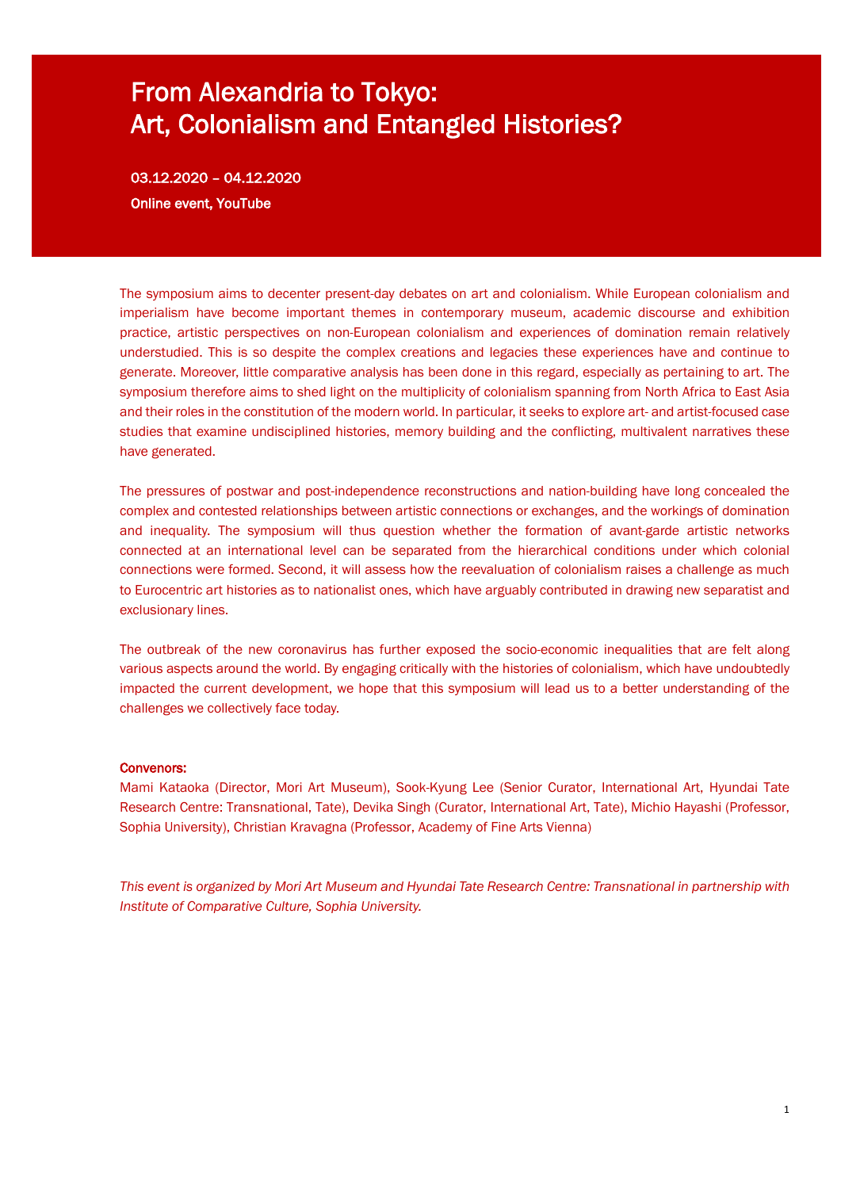# From Alexandria to Tokyo: Art, Colonialism and Entangled Histories?

03.12.2020 – 04.12.2020 Online event, YouTube

The symposium aims to decenter present-day debates on art and colonialism. While European colonialism and imperialism have become important themes in contemporary museum, academic discourse and exhibition practice, artistic perspectives on non-European colonialism and experiences of domination remain relatively understudied. This is so despite the complex creations and legacies these experiences have and continue to generate. Moreover, little comparative analysis has been done in this regard, especially as pertaining to art. The symposium therefore aims to shed light on the multiplicity of colonialism spanning from North Africa to East Asia and their roles in the constitution of the modern world. In particular, it seeks to explore art- and artist-focused case studies that examine undisciplined histories, memory building and the conflicting, multivalent narratives these have generated.

The pressures of postwar and post-independence reconstructions and nation-building have long concealed the complex and contested relationships between artistic connections or exchanges, and the workings of domination and inequality. The symposium will thus question whether the formation of avant-garde artistic networks connected at an international level can be separated from the hierarchical conditions under which colonial connections were formed. Second, it will assess how the reevaluation of colonialism raises a challenge as much to Eurocentric art histories as to nationalist ones, which have arguably contributed in drawing new separatist and exclusionary lines.

The outbreak of the new coronavirus has further exposed the socio-economic inequalities that are felt along various aspects around the world. By engaging critically with the histories of colonialism, which have undoubtedly impacted the current development, we hope that this symposium will lead us to a better understanding of the challenges we collectively face today.

### Convenors:

Mami Kataoka (Director, Mori Art Museum), Sook-Kyung Lee (Senior Curator, International Art, Hyundai Tate Research Centre: Transnational, Tate), Devika Singh (Curator, International Art, Tate), Michio Hayashi (Professor, Sophia University), Christian Kravagna (Professor, Academy of Fine Arts Vienna)

*This event is organized by Mori Art Museum and Hyundai Tate Research Centre: Transnational in partnership with Institute of Comparative Culture, Sophia University.*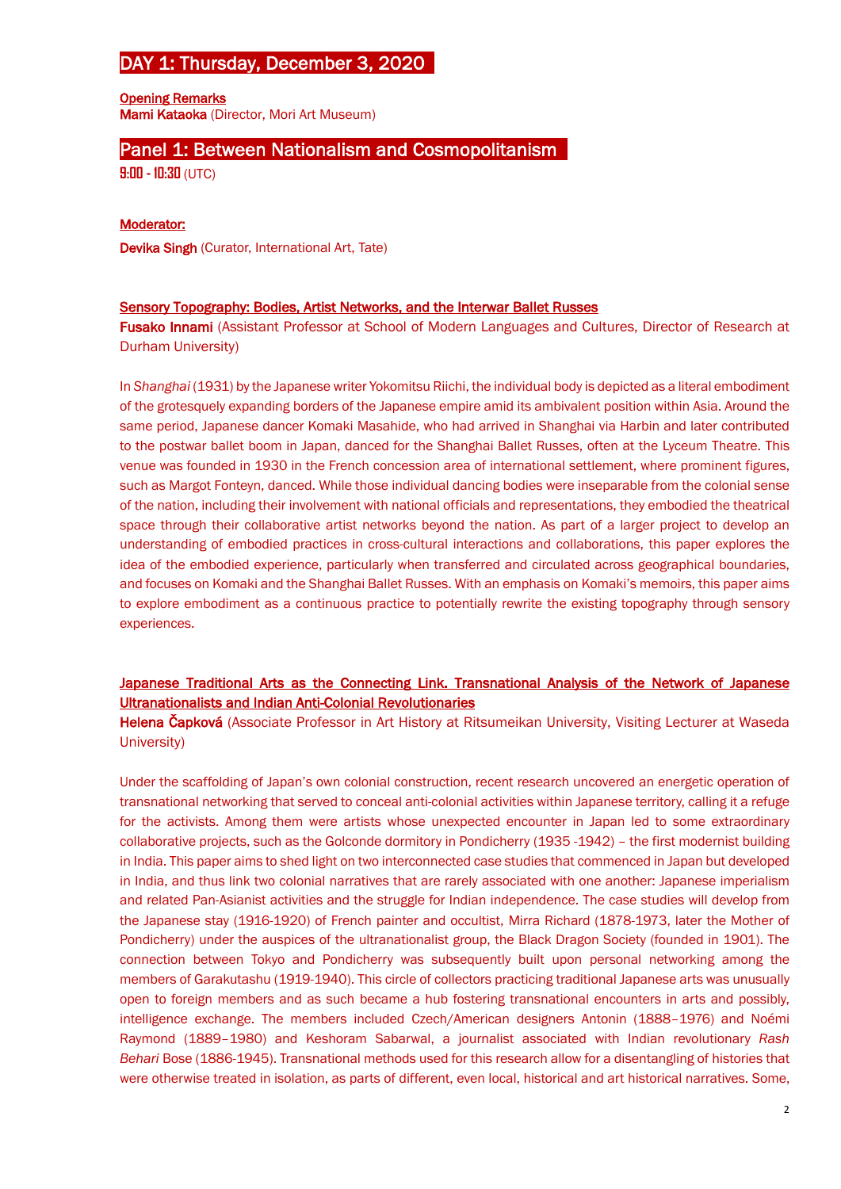# DAY 1: Thursday, December 3, 2020

Opening Remarks Mami Kataoka (Director, Mori Art Museum)

# Panel 1: Between Nationalism and Cosmopolitanism

**9:00 - 10:30** (UTC)

# Moderator:

Devika Singh (Curator, International Art, Tate)

# Sensory Topography: Bodies, Artist Networks, and the Interwar Ballet Russes

Fusako Innami (Assistant Professor at School of Modern Languages and Cultures, Director of Research at Durham University)

In *Shanghai* (1931) by the Japanese writer Yokomitsu Riichi, the individual body is depicted as a literal embodiment of the grotesquely expanding borders of the Japanese empire amid its ambivalent position within Asia. Around the same period, Japanese dancer Komaki Masahide, who had arrived in Shanghai via Harbin and later contributed to the postwar ballet boom in Japan, danced for the Shanghai Ballet Russes, often at the Lyceum Theatre. This venue was founded in 1930 in the French concession area of international settlement, where prominent figures, such as Margot Fonteyn, danced. While those individual dancing bodies were inseparable from the colonial sense of the nation, including their involvement with national officials and representations, they embodied the theatrical space through their collaborative artist networks beyond the nation. As part of a larger project to develop an understanding of embodied practices in cross-cultural interactions and collaborations, this paper explores the idea of the embodied experience, particularly when transferred and circulated across geographical boundaries, and focuses on Komaki and the Shanghai Ballet Russes. With an emphasis on Komaki's memoirs, this paper aims to explore embodiment as a continuous practice to potentially rewrite the existing topography through sensory experiences.

# Japanese Traditional Arts as the Connecting Link. Transnational Analysis of the Network of Japanese Ultranationalists and Indian Anti-Colonial Revolutionaries

Helena Čapková (Associate Professor in Art History at Ritsumeikan University, Visiting Lecturer at Waseda University)

Under the scaffolding of Japan's own colonial construction, recent research uncovered an energetic operation of transnational networking that served to conceal anti-colonial activities within Japanese territory, calling it a refuge for the activists. Among them were artists whose unexpected encounter in Japan led to some extraordinary collaborative projects, such as the Golconde dormitory in Pondicherry (1935 -1942) – the first modernist building in India. This paper aims to shed light on two interconnected case studies that commenced in Japan but developed in India, and thus link two colonial narratives that are rarely associated with one another: Japanese imperialism and related Pan-Asianist activities and the struggle for Indian independence. The case studies will develop from the Japanese stay (1916-1920) of French painter and occultist, Mirra Richard (1878-1973, later the Mother of Pondicherry) under the auspices of the ultranationalist group, the Black Dragon Society (founded in 1901). The connection between Tokyo and Pondicherry was subsequently built upon personal networking among the members of Garakutashu (1919-1940). This circle of collectors practicing traditional Japanese arts was unusually open to foreign members and as such became a hub fostering transnational encounters in arts and possibly, intelligence exchange. The members included Czech/American designers Antonin (1888–1976) and Noémi Raymond (1889–1980) and Keshoram Sabarwal, a journalist associated with Indian revolutionary *Rash Behari* Bose (1886-1945). Transnational methods used for this research allow for a disentangling of histories that were otherwise treated in isolation, as parts of different, even local, historical and art historical narratives. Some,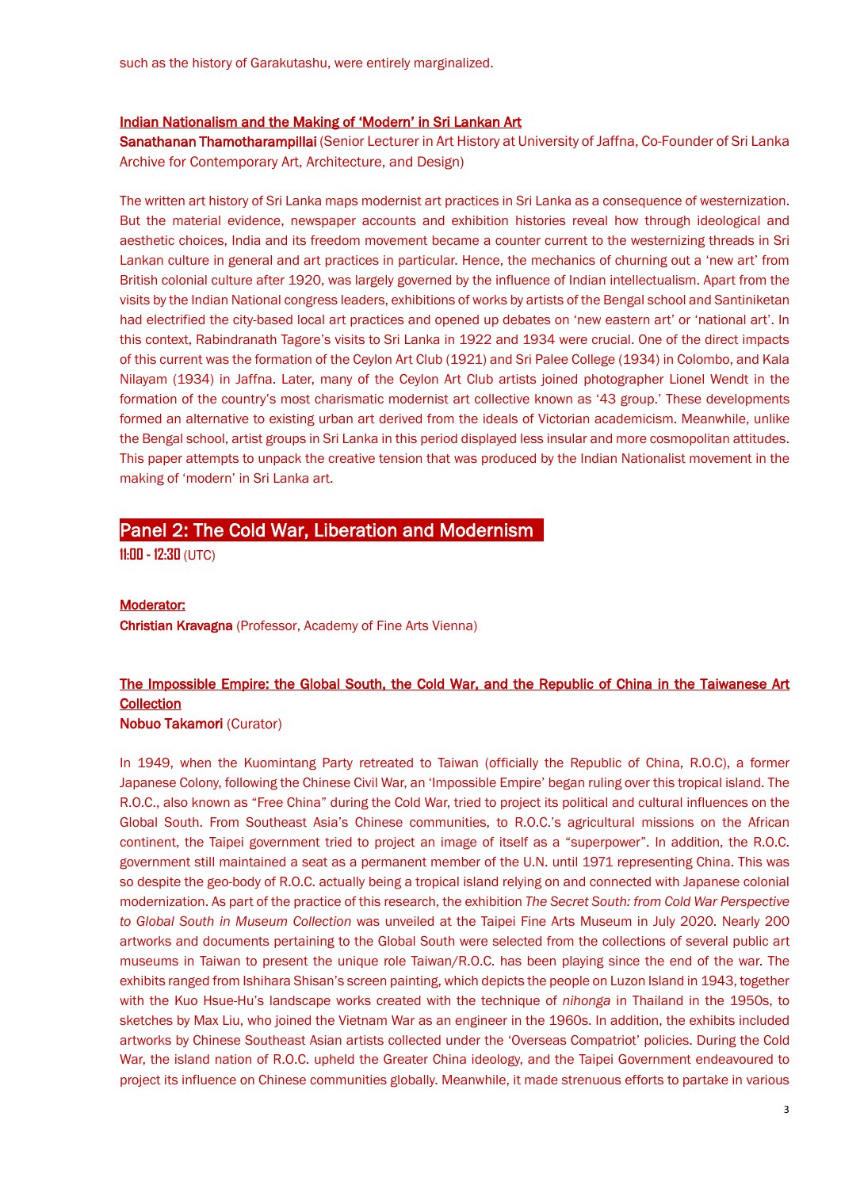### Indian Nationalism and the Making of 'Modern' in Sri Lankan Art

Sanathanan Thamotharampillai (Senior Lecturer in Art History at University of Jaffna, Co-Founder of Sri Lanka Archive for Contemporary Art, Architecture, and Design)

The written art history of Sri Lanka maps modernist art practices in Sri Lanka as a consequence of westernization. But the material evidence, newspaper accounts and exhibition histories reveal how through ideological and aesthetic choices, India and its freedom movement became a counter current to the westernizing threads in Sri Lankan culture in general and art practices in particular. Hence, the mechanics of churning out a 'new art' from British colonial culture after 1920, was largely governed by the influence of Indian intellectualism. Apart from the visits by the Indian National congress leaders, exhibitions of works by artists of the Bengal school and Santiniketan had electrified the city-based local art practices and opened up debates on 'new eastern art' or 'national art'. In this context, Rabindranath Tagore's visits to Sri Lanka in 1922 and 1934 were crucial. One of the direct impacts of this current was the formation of the Ceylon Art Club (1921) and Sri Palee College (1934) in Colombo, and Kala Nilayam (1934) in Jaffna. Later, many of the Ceylon Art Club artists joined photographer Lionel Wendt in the formation of the country's most charismatic modernist art collective known as '43 group.' These developments formed an alternative to existing urban art derived from the ideals of Victorian academicism. Meanwhile, unlike the Bengal school, artist groups in Sri Lanka in this period displayed less insular and more cosmopolitan attitudes. This paper attempts to unpack the creative tension that was produced by the Indian Nationalist movement in the making of 'modern' in Sri Lanka art.

# Panel 2: The Cold War, Liberation and Modernism

**11:00 - 12:30** (UTC)

### Moderator:

Christian Kravagna (Professor, Academy of Fine Arts Vienna)

# The Impossible Empire: the Global South, the Cold War, and the Republic of China in the Taiwanese Art **Collection**

#### Nobuo Takamori (Curator)

In 1949, when the Kuomintang Party retreated to Taiwan (officially the Republic of China, R.O.C), a former Japanese Colony, following the Chinese Civil War, an 'Impossible Empire' began ruling over this tropical island. The R.O.C., also known as "Free China" during the Cold War, tried to project its political and cultural influences on the Global South. From Southeast Asia's Chinese communities, to R.O.C.'s agricultural missions on the African continent, the Taipei government tried to project an image of itself as a "superpower". In addition, the R.O.C. government still maintained a seat as a permanent member of the U.N. until 1971 representing China. This was so despite the geo-body of R.O.C. actually being a tropical island relying on and connected with Japanese colonial modernization. As part of the practice of this research, the exhibition *The Secret South: from Cold War Perspective to Global South in Museum Collection* was unveiled at the Taipei Fine Arts Museum in July 2020. Nearly 200 artworks and documents pertaining to the Global South were selected from the collections of several public art museums in Taiwan to present the unique role Taiwan/R.O.C. has been playing since the end of the war. The exhibits ranged from Ishihara Shisan's screen painting, which depicts the people on Luzon Island in 1943, together with the Kuo Hsue-Hu's landscape works created with the technique of *nihonga* in Thailand in the 1950s, to sketches by Max Liu, who joined the Vietnam War as an engineer in the 1960s. In addition, the exhibits included artworks by Chinese Southeast Asian artists collected under the 'Overseas Compatriot' policies. During the Cold War, the island nation of R.O.C. upheld the Greater China ideology, and the Taipei Government endeavoured to project its influence on Chinese communities globally. Meanwhile, it made strenuous efforts to partake in various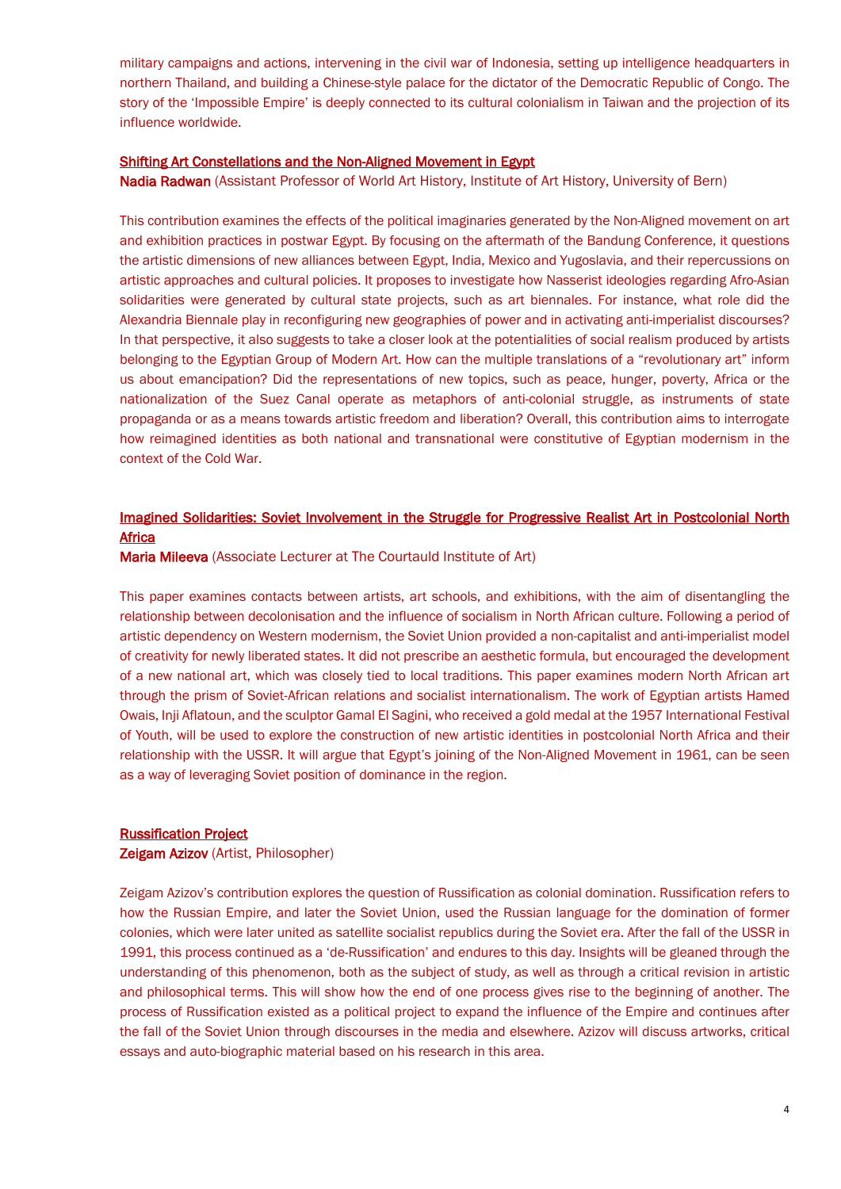military campaigns and actions, intervening in the civil war of Indonesia, setting up intelligence headquarters in northern Thailand, and building a Chinese-style palace for the dictator of the Democratic Republic of Congo. The story of the 'Impossible Empire' is deeply connected to its cultural colonialism in Taiwan and the projection of its influence worldwide.

### Shifting Art Constellations and the Non-Aligned Movement in Egypt

Nadia Radwan (Assistant Professor of World Art History, Institute of Art History, University of Bern)

This contribution examines the effects of the political imaginaries generated by the Non-Aligned movement on art and exhibition practices in postwar Egypt. By focusing on the aftermath of the Bandung Conference, it questions the artistic dimensions of new alliances between Egypt, India, Mexico and Yugoslavia, and their repercussions on artistic approaches and cultural policies. It proposes to investigate how Nasserist ideologies regarding Afro-Asian solidarities were generated by cultural state projects, such as art biennales. For instance, what role did the Alexandria Biennale play in reconfiguring new geographies of power and in activating anti-imperialist discourses? In that perspective, it also suggests to take a closer look at the potentialities of social realism produced by artists belonging to the Egyptian Group of Modern Art. How can the multiple translations of a "revolutionary art" inform us about emancipation? Did the representations of new topics, such as peace, hunger, poverty, Africa or the nationalization of the Suez Canal operate as metaphors of anti-colonial struggle, as instruments of state propaganda or as a means towards artistic freedom and liberation? Overall, this contribution aims to interrogate how reimagined identities as both national and transnational were constitutive of Egyptian modernism in the context of the Cold War.

# Imagined Solidarities: Soviet Involvement in the Struggle for Progressive Realist Art in Postcolonial North Africa

Maria Mileeva (Associate Lecturer at The Courtauld Institute of Art)

This paper examines contacts between artists, art schools, and exhibitions, with the aim of disentangling the relationship between decolonisation and the influence of socialism in North African culture. Following a period of artistic dependency on Western modernism, the Soviet Union provided a non-capitalist and anti-imperialist model of creativity for newly liberated states. It did not prescribe an aesthetic formula, but encouraged the development of a new national art, which was closely tied to local traditions. This paper examines modern North African art through the prism of Soviet-African relations and socialist internationalism. The work of Egyptian artists Hamed Owais, Inji Aflatoun, and the sculptor Gamal El Sagini, who received a gold medal at the 1957 International Festival of Youth, will be used to explore the construction of new artistic identities in postcolonial North Africa and their relationship with the USSR. It will argue that Egypt's joining of the Non-Aligned Movement in 1961, can be seen as a way of leveraging Soviet position of dominance in the region.

# Russification Project

### Zeigam Azizov (Artist, Philosopher)

Zeigam Azizov's contribution explores the question of Russification as colonial domination. Russification refers to how the Russian Empire, and later the Soviet Union, used the Russian language for the domination of former colonies, which were later united as satellite socialist republics during the Soviet era. After the fall of the USSR in 1991, this process continued as a 'de-Russification' and endures to this day. Insights will be gleaned through the understanding of this phenomenon, both as the subject of study, as well as through a critical revision in artistic and philosophical terms. This will show how the end of one process gives rise to the beginning of another. The process of Russification existed as a political project to expand the influence of the Empire and continues after the fall of the Soviet Union through discourses in the media and elsewhere. Azizov will discuss artworks, critical essays and auto-biographic material based on his research in this area.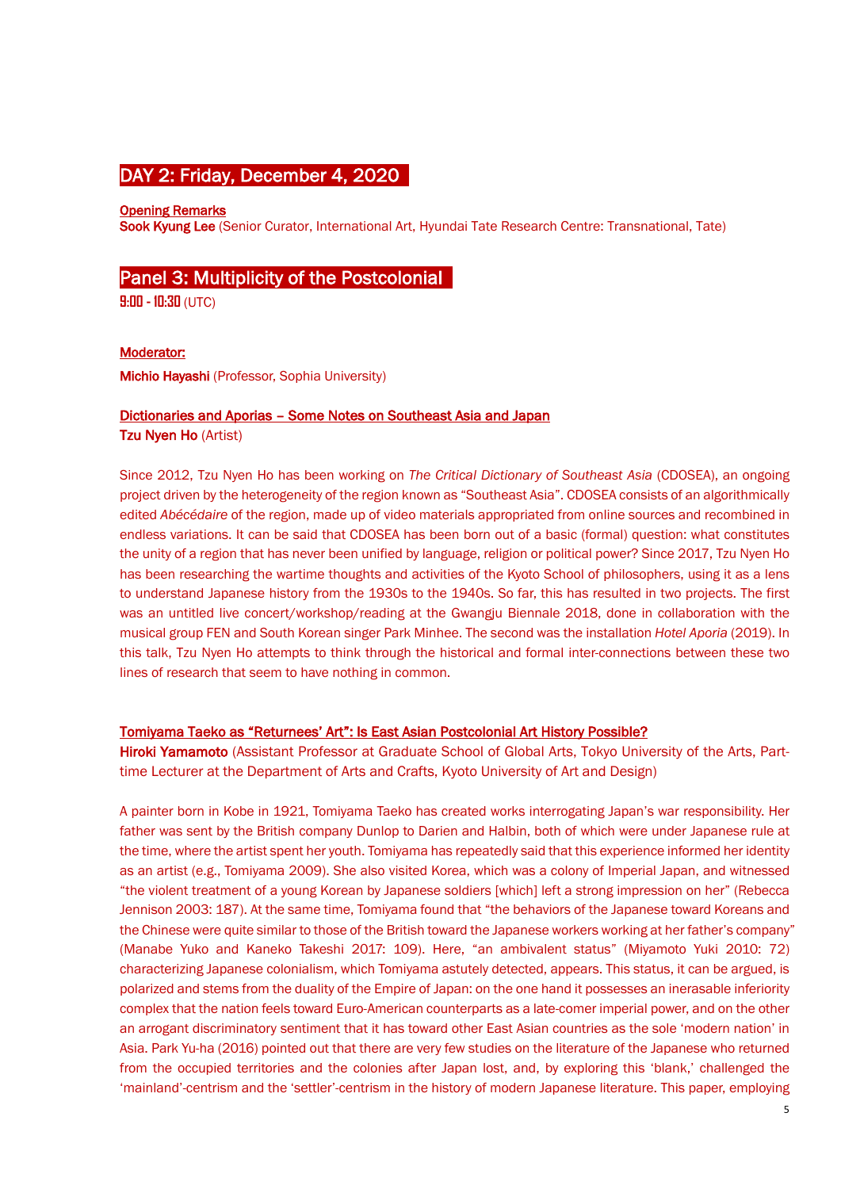# DAY 2: Friday, December 4, 2020

### Opening Remarks

Sook Kyung Lee (Senior Curator, International Art, Hyundai Tate Research Centre: Transnational, Tate)

# Panel 3: Multiplicity of the Postcolonial

**9:00 - 10:30** (UTC)

Moderator:

Michio Hayashi (Professor, Sophia University)

#### Dictionaries and Aporias – Some Notes on Southeast Asia and Japan

Tzu Nyen Ho (Artist)

Since 2012, Tzu Nyen Ho has been working on *The Critical Dictionary of Southeast Asia* (CDOSEA), an ongoing project driven by the heterogeneity of the region known as "Southeast Asia". CDOSEA consists of an algorithmically edited *Abécédaire* of the region, made up of video materials appropriated from online sources and recombined in endless variations. It can be said that CDOSEA has been born out of a basic (formal) question: what constitutes the unity of a region that has never been unified by language, religion or political power? Since 2017, Tzu Nyen Ho has been researching the wartime thoughts and activities of the Kyoto School of philosophers, using it as a lens to understand Japanese history from the 1930s to the 1940s. So far, this has resulted in two projects. The first was an untitled live concert/workshop/reading at the Gwangju Biennale 2018, done in collaboration with the musical group FEN and South Korean singer Park Minhee. The second was the installation *Hotel Aporia* (2019). In this talk, Tzu Nyen Ho attempts to think through the historical and formal inter-connections between these two lines of research that seem to have nothing in common.

### Tomiyama Taeko as "Returnees' Art": Is East Asian Postcolonial Art History Possible?

Hiroki Yamamoto (Assistant Professor at Graduate School of Global Arts, Tokyo University of the Arts, Parttime Lecturer at the Department of Arts and Crafts, Kyoto University of Art and Design)

A painter born in Kobe in 1921, Tomiyama Taeko has created works interrogating Japan's war responsibility. Her father was sent by the British company Dunlop to Darien and Halbin, both of which were under Japanese rule at the time, where the artist spent her youth. Tomiyama has repeatedly said that this experience informed her identity as an artist (e.g., Tomiyama 2009). She also visited Korea, which was a colony of Imperial Japan, and witnessed "the violent treatment of a young Korean by Japanese soldiers [which] left a strong impression on her" (Rebecca Jennison 2003: 187). At the same time, Tomiyama found that "the behaviors of the Japanese toward Koreans and the Chinese were quite similar to those of the British toward the Japanese workers working at her father's company" (Manabe Yuko and Kaneko Takeshi 2017: 109). Here, "an ambivalent status" (Miyamoto Yuki 2010: 72) characterizing Japanese colonialism, which Tomiyama astutely detected, appears. This status, it can be argued, is polarized and stems from the duality of the Empire of Japan: on the one hand it possesses an inerasable inferiority complex that the nation feels toward Euro-American counterparts as a late-comer imperial power, and on the other an arrogant discriminatory sentiment that it has toward other East Asian countries as the sole 'modern nation' in Asia. Park Yu-ha (2016) pointed out that there are very few studies on the literature of the Japanese who returned from the occupied territories and the colonies after Japan lost, and, by exploring this 'blank,' challenged the 'mainland'-centrism and the 'settler'-centrism in the history of modern Japanese literature. This paper, employing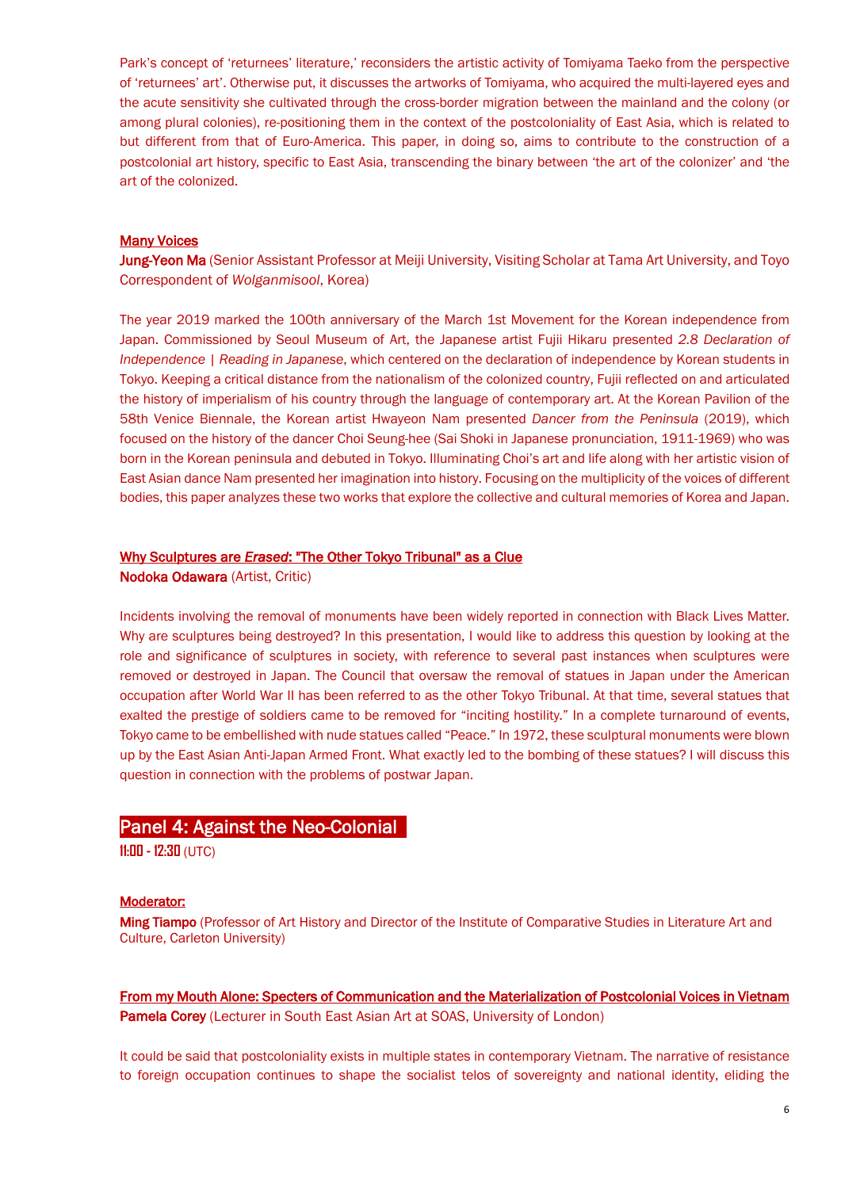Park's concept of 'returnees' literature,' reconsiders the artistic activity of Tomiyama Taeko from the perspective of 'returnees' art'. Otherwise put, it discusses the artworks of Tomiyama, who acquired the multi-layered eyes and the acute sensitivity she cultivated through the cross-border migration between the mainland and the colony (or among plural colonies), re-positioning them in the context of the postcoloniality of East Asia, which is related to but different from that of Euro-America. This paper, in doing so, aims to contribute to the construction of a postcolonial art history, specific to East Asia, transcending the binary between 'the art of the colonizer' and 'the art of the colonized.

### Many Voices

Jung-Yeon Ma (Senior Assistant Professor at Meiji University, Visiting Scholar at Tama Art University, and Toyo Correspondent of *Wolganmisool*, Korea)

The year 2019 marked the 100th anniversary of the March 1st Movement for the Korean independence from Japan. Commissioned by Seoul Museum of Art, the Japanese artist Fujii Hikaru presented *2.8 Declaration of Independence | Reading in Japanese*, which centered on the declaration of independence by Korean students in Tokyo. Keeping a critical distance from the nationalism of the colonized country, Fujii reflected on and articulated the history of imperialism of his country through the language of contemporary art. At the Korean Pavilion of the 58th Venice Biennale, the Korean artist Hwayeon Nam presented *Dancer from the Peninsula* (2019), which focused on the history of the dancer Choi Seung-hee (Sai Shoki in Japanese pronunciation, 1911-1969) who was born in the Korean peninsula and debuted in Tokyo. Illuminating Choi's art and life along with her artistic vision of East Asian dance Nam presented her imagination into history. Focusing on the multiplicity of the voices of different bodies, this paper analyzes these two works that explore the collective and cultural memories of Korea and Japan.

# Why Sculptures are *Erased*: "The Other Tokyo Tribunal" as a Clue

Nodoka Odawara (Artist, Critic)

Incidents involving the removal of monuments have been widely reported in connection with Black Lives Matter. Why are sculptures being destroyed? In this presentation, I would like to address this question by looking at the role and significance of sculptures in society, with reference to several past instances when sculptures were removed or destroyed in Japan. The Council that oversaw the removal of statues in Japan under the American occupation after World War II has been referred to as the other Tokyo Tribunal. At that time, several statues that exalted the prestige of soldiers came to be removed for "inciting hostility." In a complete turnaround of events, Tokyo came to be embellished with nude statues called "Peace." In 1972, these sculptural monuments were blown up by the East Asian Anti-Japan Armed Front. What exactly led to the bombing of these statues? I will discuss this question in connection with the problems of postwar Japan.

# Panel 4: Against the Neo-Colonial

**11:00 - 12:30** (UTC)

### Moderator:

Ming Tiampo (Professor of Art History and Director of the Institute of Comparative Studies in Literature Art and Culture, Carleton University)

From my Mouth Alone: Specters of Communication and the Materialization of Postcolonial Voices in Vietnam Pamela Corey (Lecturer in South East Asian Art at SOAS, University of London)

It could be said that postcoloniality exists in multiple states in contemporary Vietnam. The narrative of resistance to foreign occupation continues to shape the socialist telos of sovereignty and national identity, eliding the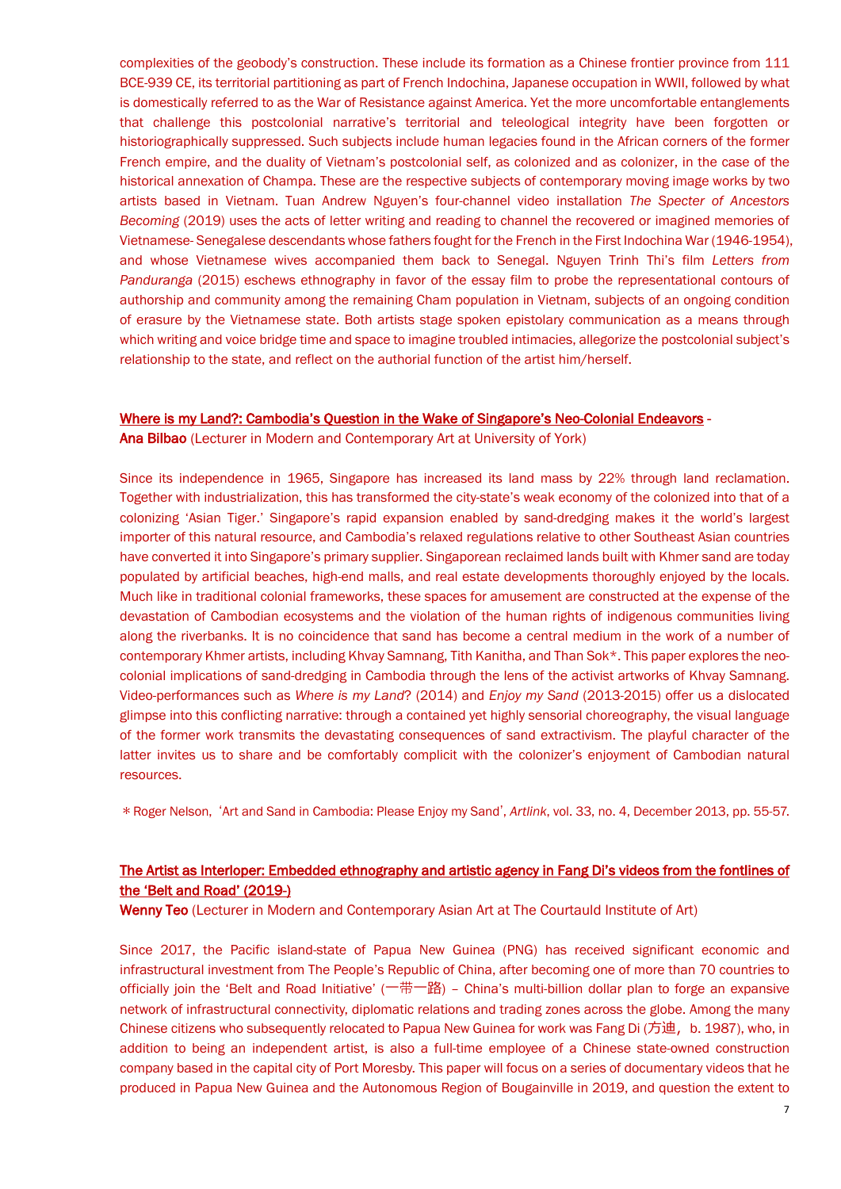complexities of the geobody's construction. These include its formation as a Chinese frontier province from 111 BCE-939 CE, its territorial partitioning as part of French Indochina, Japanese occupation in WWII, followed by what is domestically referred to as the War of Resistance against America. Yet the more uncomfortable entanglements that challenge this postcolonial narrative's territorial and teleological integrity have been forgotten or historiographically suppressed. Such subjects include human legacies found in the African corners of the former French empire, and the duality of Vietnam's postcolonial self, as colonized and as colonizer, in the case of the historical annexation of Champa. These are the respective subjects of contemporary moving image works by two artists based in Vietnam. Tuan Andrew Nguyen's four-channel video installation *The Specter of Ancestors Becoming (2019) uses the acts of letter writing and reading to channel the recovered or imagined memories of* Vietnamese- Senegalese descendants whose fathers fought for the French in the First Indochina War (1946-1954), and whose Vietnamese wives accompanied them back to Senegal. Nguyen Trinh Thi's film *Letters from Panduranga* (2015) eschews ethnography in favor of the essay film to probe the representational contours of authorship and community among the remaining Cham population in Vietnam, subjects of an ongoing condition of erasure by the Vietnamese state. Both artists stage spoken epistolary communication as a means through which writing and voice bridge time and space to imagine troubled intimacies, allegorize the postcolonial subject's relationship to the state, and reflect on the authorial function of the artist him/herself.

### Where is my Land?: Cambodia's Question in the Wake of Singapore's Neo-Colonial Endeavors -

Ana Bilbao (Lecturer in Modern and Contemporary Art at University of York)

Since its independence in 1965, Singapore has increased its land mass by 22% through land reclamation. Together with industrialization, this has transformed the city-state's weak economy of the colonized into that of a colonizing 'Asian Tiger.' Singapore's rapid expansion enabled by sand-dredging makes it the world's largest importer of this natural resource, and Cambodia's relaxed regulations relative to other Southeast Asian countries have converted it into Singapore's primary supplier. Singaporean reclaimed lands built with Khmer sand are today populated by artificial beaches, high-end malls, and real estate developments thoroughly enjoyed by the locals. Much like in traditional colonial frameworks, these spaces for amusement are constructed at the expense of the devastation of Cambodian ecosystems and the violation of the human rights of indigenous communities living along the riverbanks. It is no coincidence that sand has become a central medium in the work of a number of contemporary Khmer artists, including Khvay Samnang, Tith Kanitha, and Than Sok\*. This paper explores the neocolonial implications of sand-dredging in Cambodia through the lens of the activist artworks of Khvay Samnang. Video-performances such as *Where is my Land*? (2014) and *Enjoy my Sand* (2013-2015) offer us a dislocated glimpse into this conflicting narrative: through a contained yet highly sensorial choreography, the visual language of the former work transmits the devastating consequences of sand extractivism. The playful character of the latter invites us to share and be comfortably complicit with the colonizer's enjoyment of Cambodian natural resources.

\*Roger Nelson, ʻArt and Sand in Cambodia: Please Enjoy my Sand', *Artlink*, vol. 33, no. 4, December 2013, pp. 55-57.

# The Artist as Interloper: Embedded ethnography and artistic agency in Fang Di's videos from the fontlines of the 'Belt and Road' (2019-)

Wenny Teo (Lecturer in Modern and Contemporary Asian Art at The Courtauld Institute of Art)

Since 2017, the Pacific island-state of Papua New Guinea (PNG) has received significant economic and infrastructural investment from The People's Republic of China, after becoming one of more than 70 countries to officially join the 'Belt and Road Initiative' (一带一路) – China's multi-billion dollar plan to forge an expansive network of infrastructural connectivity, diplomatic relations and trading zones across the globe. Among the many Chinese citizens who subsequently relocated to Papua New Guinea for work was Fang Di (方迪, b. 1987), who, in addition to being an independent artist, is also a full-time employee of a Chinese state-owned construction company based in the capital city of Port Moresby. This paper will focus on a series of documentary videos that he produced in Papua New Guinea and the Autonomous Region of Bougainville in 2019, and question the extent to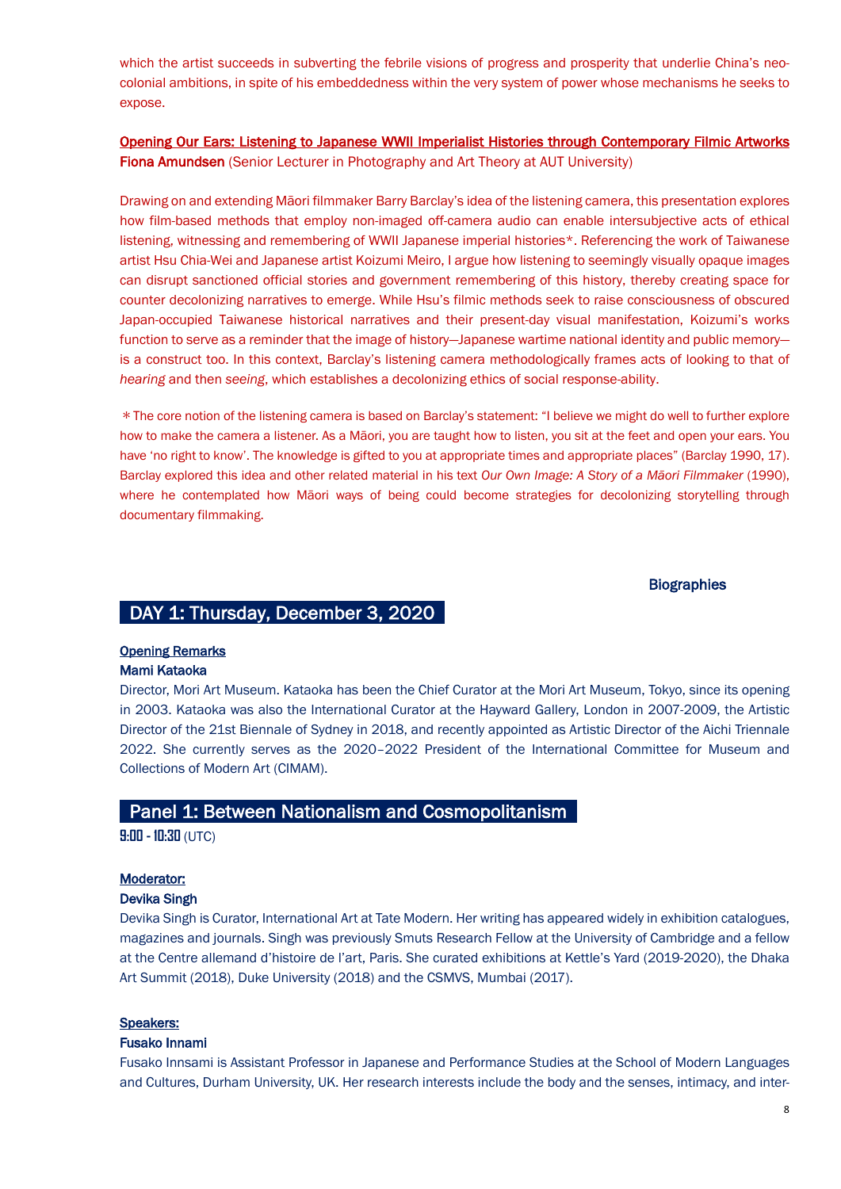which the artist succeeds in subverting the febrile visions of progress and prosperity that underlie China's neocolonial ambitions, in spite of his embeddedness within the very system of power whose mechanisms he seeks to expose.

Opening Our Ears: Listening to Japanese WWII Imperialist Histories through Contemporary Filmic Artworks Fiona Amundsen (Senior Lecturer in Photography and Art Theory at AUT University)

Drawing on and extending Māori filmmaker Barry Barclay's idea of the listening camera, this presentation explores how film-based methods that employ non-imaged off-camera audio can enable intersubjective acts of ethical listening, witnessing and remembering of WWII Japanese imperial histories\*. Referencing the work of Taiwanese artist Hsu Chia-Wei and Japanese artist Koizumi Meiro, I argue how listening to seemingly visually opaque images can disrupt sanctioned official stories and government remembering of this history, thereby creating space for counter decolonizing narratives to emerge. While Hsu's filmic methods seek to raise consciousness of obscured Japan-occupied Taiwanese historical narratives and their present-day visual manifestation, Koizumi's works function to serve as a reminder that the image of history—Japanese wartime national identity and public memory is a construct too. In this context, Barclay's listening camera methodologically frames acts of looking to that of *hearing* and then *seeing*, which establishes a decolonizing ethics of social response-ability.

\*The core notion of the listening camera is based on Barclay's statement: "I believe we might do well to further explore how to make the camera a listener. As a Māori, you are taught how to listen, you sit at the feet and open your ears. You have 'no right to know'. The knowledge is gifted to you at appropriate times and appropriate places" (Barclay 1990, 17). Barclay explored this idea and other related material in his text *Our Own Image: A Story of a Māori Filmmaker* (1990), where he contemplated how Māori ways of being could become strategies for decolonizing storytelling through documentary filmmaking.

# **Biographies**

# DAY 1: Thursday, December 3, 2020

# Opening Remarks

# Mami Kataoka

Director, Mori Art Museum. Kataoka has been the Chief Curator at the Mori Art Museum, Tokyo, since its opening in 2003. Kataoka was also the International Curator at the Hayward Gallery, London in 2007-2009, the Artistic Director of the 21st Biennale of Sydney in 2018, and recently appointed as Artistic Director of the Aichi Triennale 2022. She currently serves as the 2020–2022 President of the International Committee for Museum and Collections of Modern Art (CIMAM).

# Panel 1: Between Nationalism and Cosmopolitanism

**9:00 - 10:30** (UTC)

#### Moderator:

#### Devika Singh

Devika Singh is Curator, International Art at Tate Modern. Her writing has appeared widely in exhibition catalogues, magazines and journals. Singh was previously Smuts Research Fellow at the University of Cambridge and a fellow at the Centre allemand d'histoire de l'art, Paris. She curated exhibitions at Kettle's Yard (2019-2020), the Dhaka Art Summit (2018), Duke University (2018) and the CSMVS, Mumbai (2017).

#### Speakers:

#### Fusako Innami

Fusako Innsami is Assistant Professor in Japanese and Performance Studies at the School of Modern Languages and Cultures, Durham University, UK. Her research interests include the body and the senses, intimacy, and inter-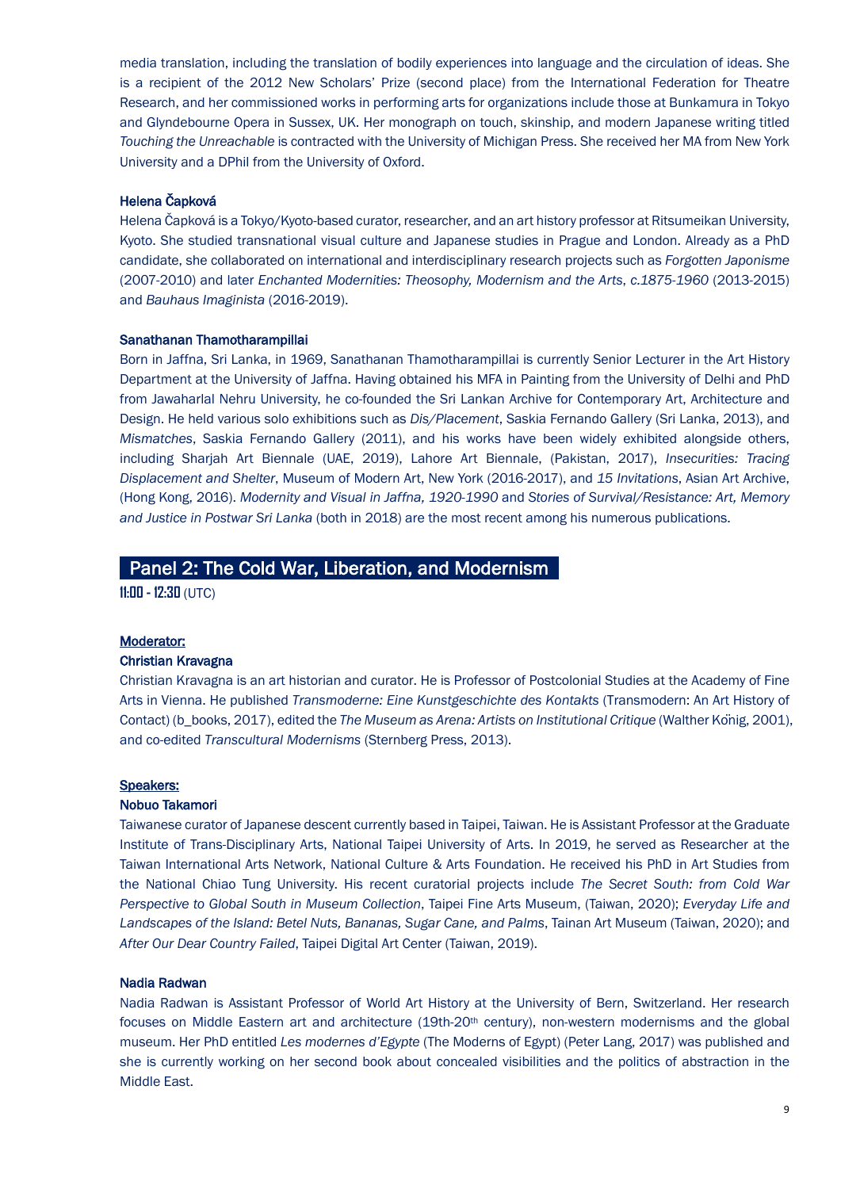media translation, including the translation of bodily experiences into language and the circulation of ideas. She is a recipient of the 2012 New Scholars' Prize (second place) from the International Federation for Theatre Research, and her commissioned works in performing arts for organizations include those at Bunkamura in Tokyo and Glyndebourne Opera in Sussex, UK. Her monograph on touch, skinship, and modern Japanese writing titled *Touching the Unreachable* is contracted with the University of Michigan Press. She received her MA from New York University and a DPhil from the University of Oxford.

### Helena Čapková

Helena Čapková is a Tokyo/Kyoto-based curator, researcher, and an art history professor at Ritsumeikan University, Kyoto. She studied transnational visual culture and Japanese studies in Prague and London. Already as a PhD candidate, she collaborated on international and interdisciplinary research projects such as *Forgotten Japonisme* (2007-2010) and later *Enchanted Modernities: Theosophy, Modernism and the Arts*, *c.1875-1960* (2013-2015) and *Bauhaus Imaginista* (2016-2019).

#### Sanathanan Thamotharampillai

Born in Jaffna, Sri Lanka, in 1969, Sanathanan Thamotharampillai is currently Senior Lecturer in the Art History Department at the University of Jaffna. Having obtained his MFA in Painting from the University of Delhi and PhD from Jawaharlal Nehru University, he co-founded the Sri Lankan Archive for Contemporary Art, Architecture and Design. He held various solo exhibitions such as *Dis/Placement*, Saskia Fernando Gallery (Sri Lanka, 2013), and *Mismatches*, Saskia Fernando Gallery (2011), and his works have been widely exhibited alongside others, including Sharjah Art Biennale (UAE, 2019), Lahore Art Biennale, (Pakistan, 2017), *Insecurities: Tracing Displacement and Shelter*, Museum of Modern Art, New York (2016-2017), and *15 Invitations*, Asian Art Archive, (Hong Kong, 2016). *Modernity and Visual in Jaffna, 1920-1990* and *Stories of Survival/Resistance: Art, Memory and Justice in Postwar Sri Lanka* (both in 2018) are the most recent among his numerous publications.

# Panel 2: The Cold War, Liberation, and Modernism\_

**11:00 - 12:30** (UTC)

### Moderator:

#### Christian Kravagna

Christian Kravagna is an art historian and curator. He is Professor of Postcolonial Studies at the Academy of Fine Arts in Vienna. He published *Transmoderne: Eine Kunstgeschichte des Kontakts* (Transmodern: An Art History of Contact) (b\_books, 2017), edited the *The Museum as Arena: Artists on Institutional Critique* (Walther König, 2001), and co-edited *Transcultural Modernisms* (Sternberg Press, 2013).

#### Speakers:

#### Nobuo Takamori

Taiwanese curator of Japanese descent currently based in Taipei, Taiwan. He is Assistant Professor at the Graduate Institute of Trans-Disciplinary Arts, National Taipei University of Arts. In 2019, he served as Researcher at the Taiwan International Arts Network, National Culture & Arts Foundation. He received his PhD in Art Studies from the National Chiao Tung University. His recent curatorial projects include *The Secret South: from Cold War Perspective to Global South in Museum Collection*, Taipei Fine Arts Museum, (Taiwan, 2020); *Everyday Life and Landscapes of the Island: Betel Nuts, Bananas, Sugar Cane, and Palms*, Tainan Art Museum (Taiwan, 2020); and *After Our Dear Country Failed*, Taipei Digital Art Center (Taiwan, 2019).

#### Nadia Radwan

Nadia Radwan is Assistant Professor of World Art History at the University of Bern, Switzerland. Her research focuses on Middle Eastern art and architecture (19th-20th century), non-western modernisms and the global museum. Her PhD entitled *Les modernes d'Egypte* (The Moderns of Egypt) (Peter Lang, 2017) was published and she is currently working on her second book about concealed visibilities and the politics of abstraction in the Middle East.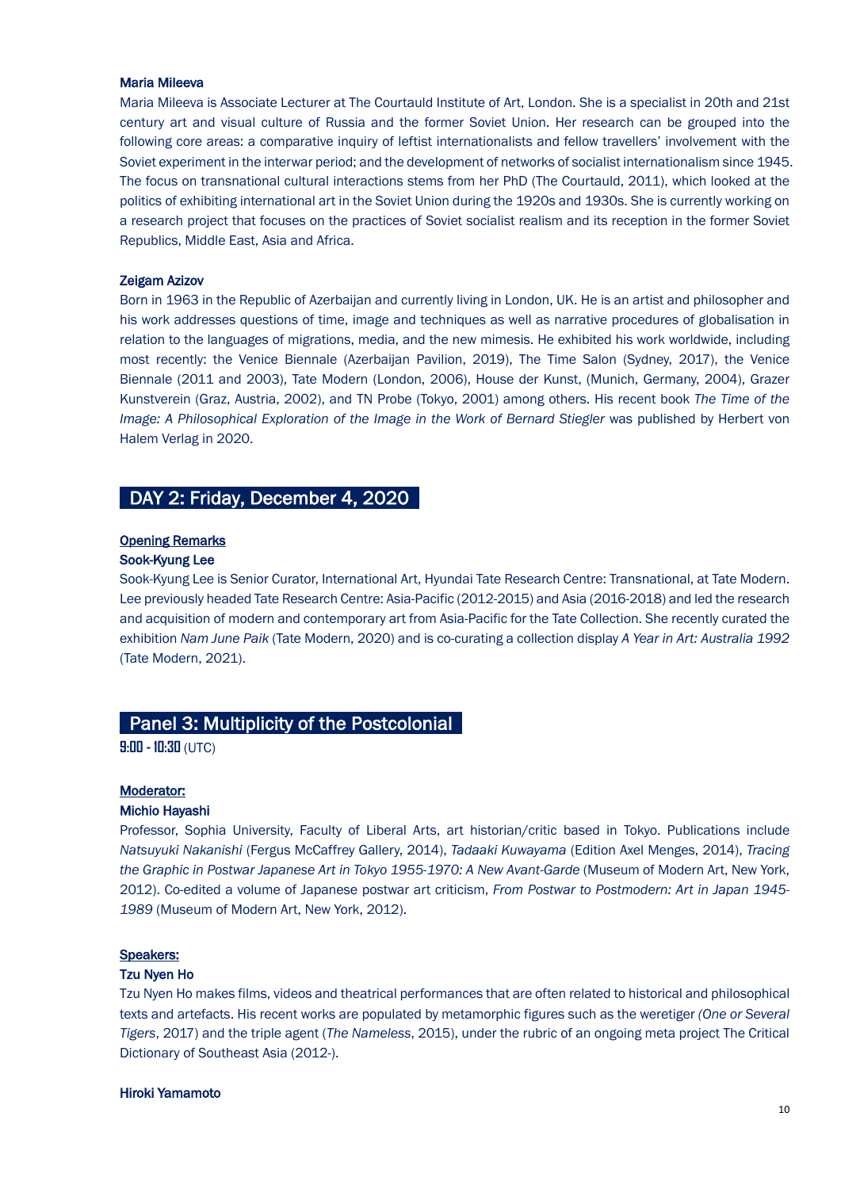#### Maria Mileeva

Maria Mileeva is Associate Lecturer at The Courtauld Institute of Art, London. She is a specialist in 20th and 21st century art and visual culture of Russia and the former Soviet Union. Her research can be grouped into the following core areas: a comparative inquiry of leftist internationalists and fellow travellers' involvement with the Soviet experiment in the interwar period; and the development of networks of socialist internationalism since 1945. The focus on transnational cultural interactions stems from her PhD (The Courtauld, 2011), which looked at the politics of exhibiting international art in the Soviet Union during the 1920s and 1930s. She is currently working on a research project that focuses on the practices of Soviet socialist realism and its reception in the former Soviet Republics, Middle East, Asia and Africa.

#### Zeigam Azizov

Born in 1963 in the Republic of Azerbaijan and currently living in London, UK. He is an artist and philosopher and his work addresses questions of time, image and techniques as well as narrative procedures of globalisation in relation to the languages of migrations, media, and the new mimesis. He exhibited his work worldwide, including most recently: the Venice Biennale (Azerbaijan Pavilion, 2019), The Time Salon (Sydney, 2017), the Venice Biennale (2011 and 2003), Tate Modern (London, 2006), House der Kunst, (Munich, Germany, 2004), Grazer Kunstverein (Graz, Austria, 2002), and TN Probe (Tokyo, 2001) among others. His recent book *The Time of the Image: A Philosophical Exploration of the Image in the Work of Bernard Stiegler* was published by Herbert von Halem Verlag in 2020.

# DAY 2: Friday, December 4, 2020

# Opening Remarks

# Sook-Kyung Lee

Sook-Kyung Lee is Senior Curator, International Art, Hyundai Tate Research Centre: Transnational, at Tate Modern. Lee previously headed Tate Research Centre: Asia-Pacific (2012-2015) and Asia (2016-2018) and led the research and acquisition of modern and contemporary art from Asia-Pacific for the Tate Collection. She recently curated the exhibition *Nam June Paik* (Tate Modern, 2020) and is co-curating a collection display *A Year in Art: Australia 1992* (Tate Modern, 2021).

# Panel 3: Multiplicity of the Postcolonial

**9:00 - 10:30** (UTC)

### Moderator:

### Michio Hayashi

Professor, Sophia University, Faculty of Liberal Arts, art historian/critic based in Tokyo. Publications include *Natsuyuki Nakanishi* (Fergus McCaffrey Gallery, 2014), *Tadaaki Kuwayama* (Edition Axel Menges, 2014), *Tracing the Graphic in Postwar Japanese Art in Tokyo 1955-1970: A New Avant-Garde* (Museum of Modern Art, New York, 2012). Co-edited a volume of Japanese postwar art criticism, *From Postwar to Postmodern: Art in Japan 1945- 1989* (Museum of Modern Art, New York, 2012).

#### Speakers:

#### Tzu Nyen Ho

Tzu Nyen Ho makes films, videos and theatrical performances that are often related to historical and philosophical texts and artefacts. His recent works are populated by metamorphic figures such as the weretiger *(One or Several Tigers*, 2017) and the triple agent (*The Nameless*, 2015), under the rubric of an ongoing meta project The Critical Dictionary of Southeast Asia (2012-).

#### Hiroki Yamamoto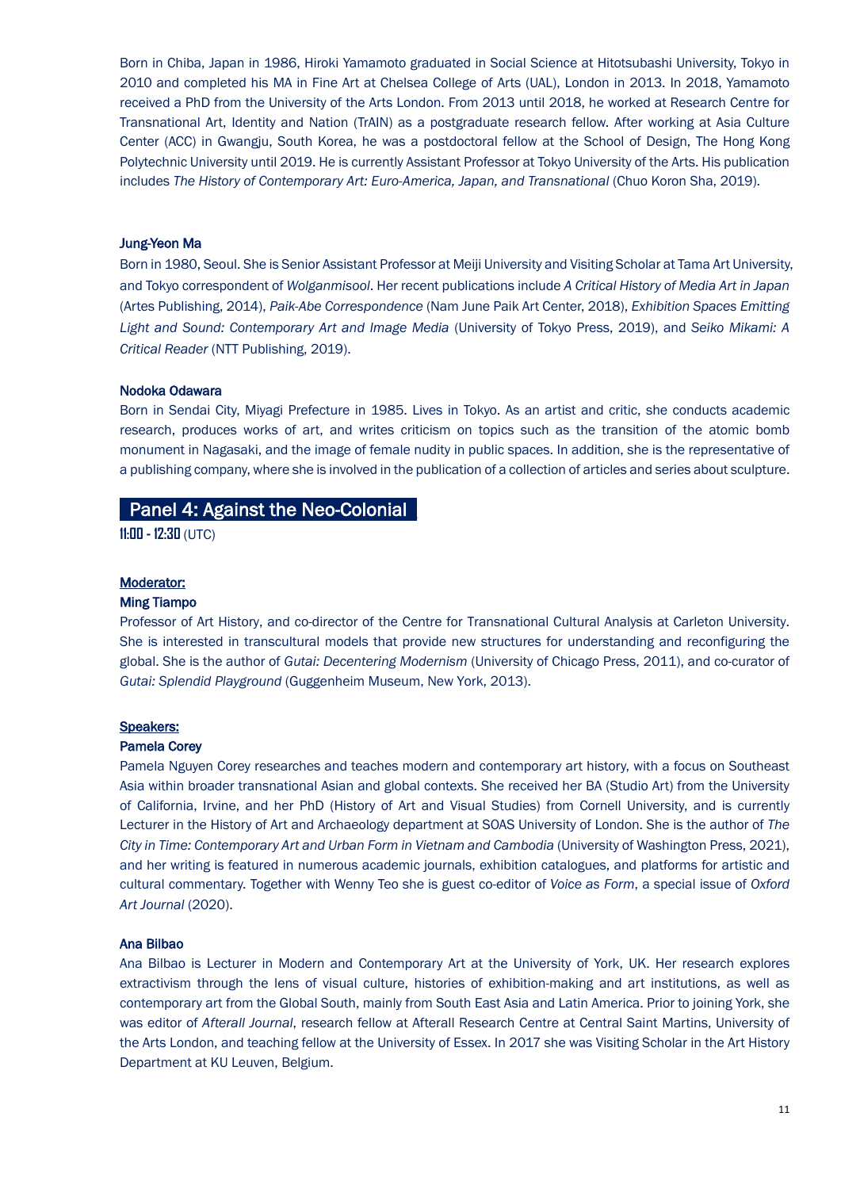Born in Chiba, Japan in 1986, Hiroki Yamamoto graduated in Social Science at Hitotsubashi University, Tokyo in 2010 and completed his MA in Fine Art at Chelsea College of Arts (UAL), London in 2013. In 2018, Yamamoto received a PhD from the University of the Arts London. From 2013 until 2018, he worked at Research Centre for Transnational Art, Identity and Nation (TrAIN) as a postgraduate research fellow. After working at Asia Culture Center (ACC) in Gwangju, South Korea, he was a postdoctoral fellow at the School of Design, The Hong Kong Polytechnic University until 2019. He is currently Assistant Professor at Tokyo University of the Arts. His publication includes *The History of Contemporary Art: Euro-America, Japan, and Transnational* (Chuo Koron Sha, 2019).

#### Jung-Yeon Ma

Born in 1980, Seoul. She is Senior Assistant Professor at Meiji University and Visiting Scholar at Tama Art University, and Tokyo correspondent of *Wolganmisool*. Her recent publications include *A Critical History of Media Art in Japan* (Artes Publishing, 2014), *Paik-Abe Correspondence* (Nam June Paik Art Center, 2018), *Exhibition Spaces Emitting Light and Sound: Contemporary Art and Image Media* (University of Tokyo Press, 2019), and *Seiko Mikami: A Critical Reader* (NTT Publishing, 2019).

#### Nodoka Odawara

Born in Sendai City, Miyagi Prefecture in 1985. Lives in Tokyo. As an artist and critic, she conducts academic research, produces works of art, and writes criticism on topics such as the transition of the atomic bomb monument in Nagasaki, and the image of female nudity in public spaces. In addition, she is the representative of a publishing company, where she is involved in the publication of a collection of articles and series about sculpture.

# Panel 4: Against the Neo-Colonial

**11:00 - 12:30** (UTC)

# Moderator:

#### Ming Tiampo

Professor of Art History, and co-director of the Centre for Transnational Cultural Analysis at Carleton University. She is interested in transcultural models that provide new structures for understanding and reconfiguring the global. She is the author of *Gutai: Decentering Modernism* (University of Chicago Press, 2011), and co-curator of *Gutai: Splendid Playground* (Guggenheim Museum, New York, 2013).

#### Speakers:

#### Pamela Corey

Pamela Nguyen Corey researches and teaches modern and contemporary art history, with a focus on Southeast Asia within broader transnational Asian and global contexts. She received her BA (Studio Art) from the University of California, Irvine, and her PhD (History of Art and Visual Studies) from Cornell University, and is currently Lecturer in the History of Art and Archaeology department at SOAS University of London. She is the author of *The City in Time: Contemporary Art and Urban Form in Vietnam and Cambodia* (University of Washington Press, 2021), and her writing is featured in numerous academic journals, exhibition catalogues, and platforms for artistic and cultural commentary. Together with Wenny Teo she is guest co-editor of *Voice as Form*, a special issue of *Oxford Art Journal* (2020).

#### Ana Bilbao

Ana Bilbao is Lecturer in Modern and Contemporary Art at the University of York, UK. Her research explores extractivism through the lens of visual culture, histories of exhibition-making and art institutions, as well as contemporary art from the Global South, mainly from South East Asia and Latin America. Prior to joining York, she was editor of *Afterall Journal*, research fellow at Afterall Research Centre at Central Saint Martins, University of the Arts London, and teaching fellow at the University of Essex. In 2017 she was Visiting Scholar in the Art History Department at KU Leuven, Belgium.